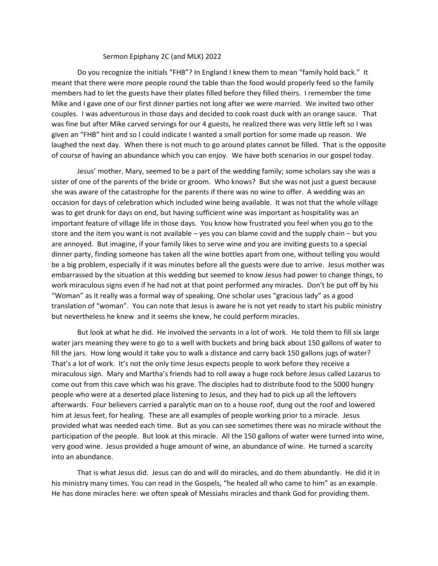## Sermon Epiphany 2C (and MLK) 2022

Do you recognize the initials "FHB"? In England I knew them to mean "family hold back." It meant that there were more people round the table than the food would properly feed so the family members had to let the guests have their plates filled before they filled theirs. I remember the time Mike and I gave one of our first dinner parties not long after we were married. We invited two other couples. I was adventurous in those days and decided to cook roast duck with an orange sauce. That was fine but after Mike carved servings for our 4 guests, he realized there was very little left so I was given an "FHB" hint and so I could indicate I wanted a small portion for some made up reason. We laughed the next day. When there is not much to go around plates cannot be filled. That is the opposite of course of having an abundance which you can enjoy. We have both scenarios in our gospel today.

Jesus' mother, Mary, seemed to be a part of the wedding family; some scholars say she was a sister of one of the parents of the bride or groom. Who knows? But she was not just a guest because she was aware of the catastrophe for the parents if there was no wine to offer. A wedding was an occasion for days of celebration which included wine being available. It was not that the whole village was to get drunk for days on end, but having sufficient wine was important as hospitality was an important feature of village life in those days. You know how frustrated you feel when you go to the store and the item you want is not available – yes you can blame covid and the supply chain – but you are annoyed. But imagine, if your family likes to serve wine and you are inviting guests to a special dinner party, finding someone has taken all the wine bottles apart from one, without telling you would be a big problem, especially if it was minutes before all the guests were due to arrive. Jesus mother was embarrassed by the situation at this wedding but seemed to know Jesus had power to change things, to work miraculous signs even if he had not at that point performed any miracles. Don't be put off by his "Woman" as it really was a formal way of speaking. One scholar uses "gracious lady" as a good translation of "woman". You can note that Jesus is aware he is not yet ready to start his public ministry but nevertheless he knew and it seems she knew, he could perform miracles.

But look at what he did. He involved the servants in a lot of work. He told them to fill six large water jars meaning they were to go to a well with buckets and bring back about 150 gallons of water to fill the jars. How long would it take you to walk a distance and carry back 150 gallons jugs of water? That's a lot of work. It's not the only time Jesus expects people to work before they receive a miraculous sign. Mary and Martha's friends had to roll away a huge rock before Jesus called Lazarus to come out from this cave which was his grave. The disciples had to distribute food to the 5000 hungry people who were at a deserted place listening to Jesus, and they had to pick up all the leftovers afterwards. Four believers carried a paralytic man on to a house roof, dung out the roof and lowered him at Jesus feet, for healing. These are all examples of people working prior to a miracle. Jesus provided what was needed each time. But as you can see sometimes there was no miracle without the participation of the people. But look at this miracle. All the 150 gallons of water were turned into wine, very good wine. Jesus provided a huge amount of wine, an abundance of wine. He turned a scarcity into an abundance.

That is what Jesus did. Jesus can do and will do miracles, and do them abundantly. He did it in his ministry many times. You can read in the Gospels, "he healed all who came to him" as an example. He has done miracles here: we often speak of Messiahs miracles and thank God for providing them.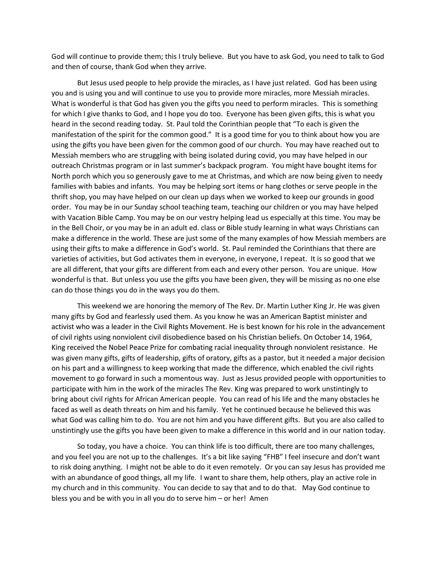God will continue to provide them; this I truly believe. But you have to ask God, you need to talk to God and then of course, thank God when they arrive.

But Jesus used people to help provide the miracles, as I have just related. God has been using you and is using you and will continue to use you to provide more miracles, more Messiah miracles. What is wonderful is that God has given you the gifts you need to perform miracles. This is something for which I give thanks to God, and I hope you do too. Everyone has been given gifts, this is what you heard in the second reading today. St. Paul told the Corinthian people that "To each is given the manifestation of the spirit for the common good." It is a good time for you to think about how you are using the gifts you have been given for the common good of our church. You may have reached out to Messiah members who are struggling with being isolated during covid, you may have helped in our outreach Christmas program or in last summer's backpack program. You might have bought items for North porch which you so generously gave to me at Christmas, and which are now being given to needy families with babies and infants. You may be helping sort items or hang clothes or serve people in the thrift shop, you may have helped on our clean up days when we worked to keep our grounds in good order. You may be in our Sunday school teaching team, teaching our children or you may have helped with Vacation Bible Camp. You may be on our vestry helping lead us especially at this time. You may be in the Bell Choir, or you may be in an adult ed. class or Bible study learning in what ways Christians can make a difference in the world. These are just some of the many examples of how Messiah members are using their gifts to make a difference in God's world. St. Paul reminded the Corinthians that there are varieties of activities, but God activates them in everyone, in everyone, I repeat. It is so good that we are all different, that your gifts are different from each and every other person. You are unique. How wonderful is that. But unless you use the gifts you have been given, they will be missing as no one else can do those things you do in the ways you do them.

This weekend we are honoring the memory of The Rev. Dr. Martin Luther King Jr. He was given many gifts by God and fearlessly used them. As you know he was an American Baptist minister and activist who was a leader in the Civil Rights Movement. He is best known for his role in the advancement of civil rights using nonviolent civil disobedience based on his Christian beliefs. On October 14, 1964, King received the Nobel Peace Prize for combating racial inequality through nonviolent resistance. He was given many gifts, gifts of leadership, gifts of oratory, gifts as a pastor, but it needed a major decision on his part and a willingness to keep working that made the difference, which enabled the civil rights movement to go forward in such a momentous way. Just as Jesus provided people with opportunities to participate with him in the work of the miracles The Rev. King was prepared to work unstintingly to bring about civil rights for African American people. You can read of his life and the many obstacles he faced as well as death threats on him and his family. Yet he continued because he believed this was what God was calling him to do. You are not him and you have different gifts. But you are also called to unstintingly use the gifts you have been given to make a difference in this world and in our nation today.

So today, you have a choice. You can think life is too difficult, there are too many challenges, and you feel you are not up to the challenges. It's a bit like saying "FHB" I feel insecure and don't want to risk doing anything. I might not be able to do it even remotely. Or you can say Jesus has provided me with an abundance of good things, all my life. I want to share them, help others, play an active role in my church and in this community. You can decide to say that and to do that. May God continue to bless you and be with you in all you do to serve him – or her! Amen